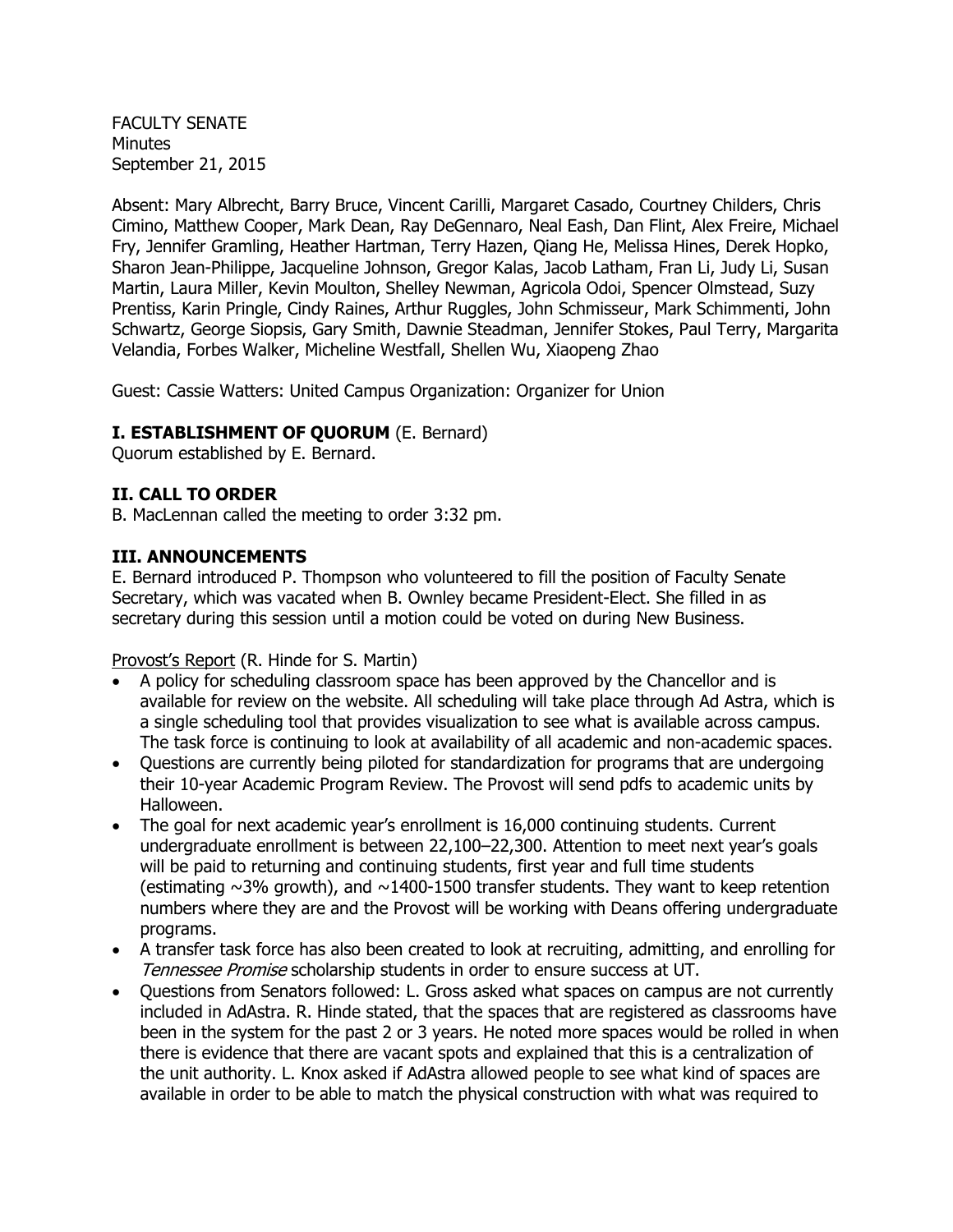FACULTY SENATE Minutes September 21, 2015

Absent: Mary Albrecht, Barry Bruce, Vincent Carilli, Margaret Casado, Courtney Childers, Chris Cimino, Matthew Cooper, Mark Dean, Ray DeGennaro, Neal Eash, Dan Flint, Alex Freire, Michael Fry, Jennifer Gramling, Heather Hartman, Terry Hazen, Qiang He, Melissa Hines, Derek Hopko, Sharon Jean-Philippe, Jacqueline Johnson, Gregor Kalas, Jacob Latham, Fran Li, Judy Li, Susan Martin, Laura Miller, Kevin Moulton, Shelley Newman, Agricola Odoi, Spencer Olmstead, Suzy Prentiss, Karin Pringle, Cindy Raines, Arthur Ruggles, John Schmisseur, Mark Schimmenti, John Schwartz, George Siopsis, Gary Smith, Dawnie Steadman, Jennifer Stokes, Paul Terry, Margarita Velandia, Forbes Walker, Micheline Westfall, Shellen Wu, Xiaopeng Zhao

Guest: Cassie Watters: United Campus Organization: Organizer for Union

## **I. ESTABLISHMENT OF QUORUM** (E. Bernard)

Quorum established by E. Bernard.

## **II. CALL TO ORDER**

B. MacLennan called the meeting to order 3:32 pm.

## **III. ANNOUNCEMENTS**

E. Bernard introduced P. Thompson who volunteered to fill the position of Faculty Senate Secretary, which was vacated when B. Ownley became President-Elect. She filled in as secretary during this session until a motion could be voted on during New Business.

Provost's Report (R. Hinde for S. Martin)

- A policy for scheduling classroom space has been approved by the Chancellor and is available for review on the website. All scheduling will take place through Ad Astra, which is a single scheduling tool that provides visualization to see what is available across campus. The task force is continuing to look at availability of all academic and non-academic spaces.
- Questions are currently being piloted for standardization for programs that are undergoing their 10-year Academic Program Review. The Provost will send pdfs to academic units by Halloween.
- The goal for next academic year's enrollment is 16,000 continuing students. Current undergraduate enrollment is between 22,100–22,300. Attention to meet next year's goals will be paid to returning and continuing students, first year and full time students (estimating  $\sim$ 3% growth), and  $\sim$ 1400-1500 transfer students. They want to keep retention numbers where they are and the Provost will be working with Deans offering undergraduate programs.
- A transfer task force has also been created to look at recruiting, admitting, and enrolling for Tennessee Promise scholarship students in order to ensure success at UT.
- Questions from Senators followed: L. Gross asked what spaces on campus are not currently included in AdAstra. R. Hinde stated, that the spaces that are registered as classrooms have been in the system for the past 2 or 3 years. He noted more spaces would be rolled in when there is evidence that there are vacant spots and explained that this is a centralization of the unit authority. L. Knox asked if AdAstra allowed people to see what kind of spaces are available in order to be able to match the physical construction with what was required to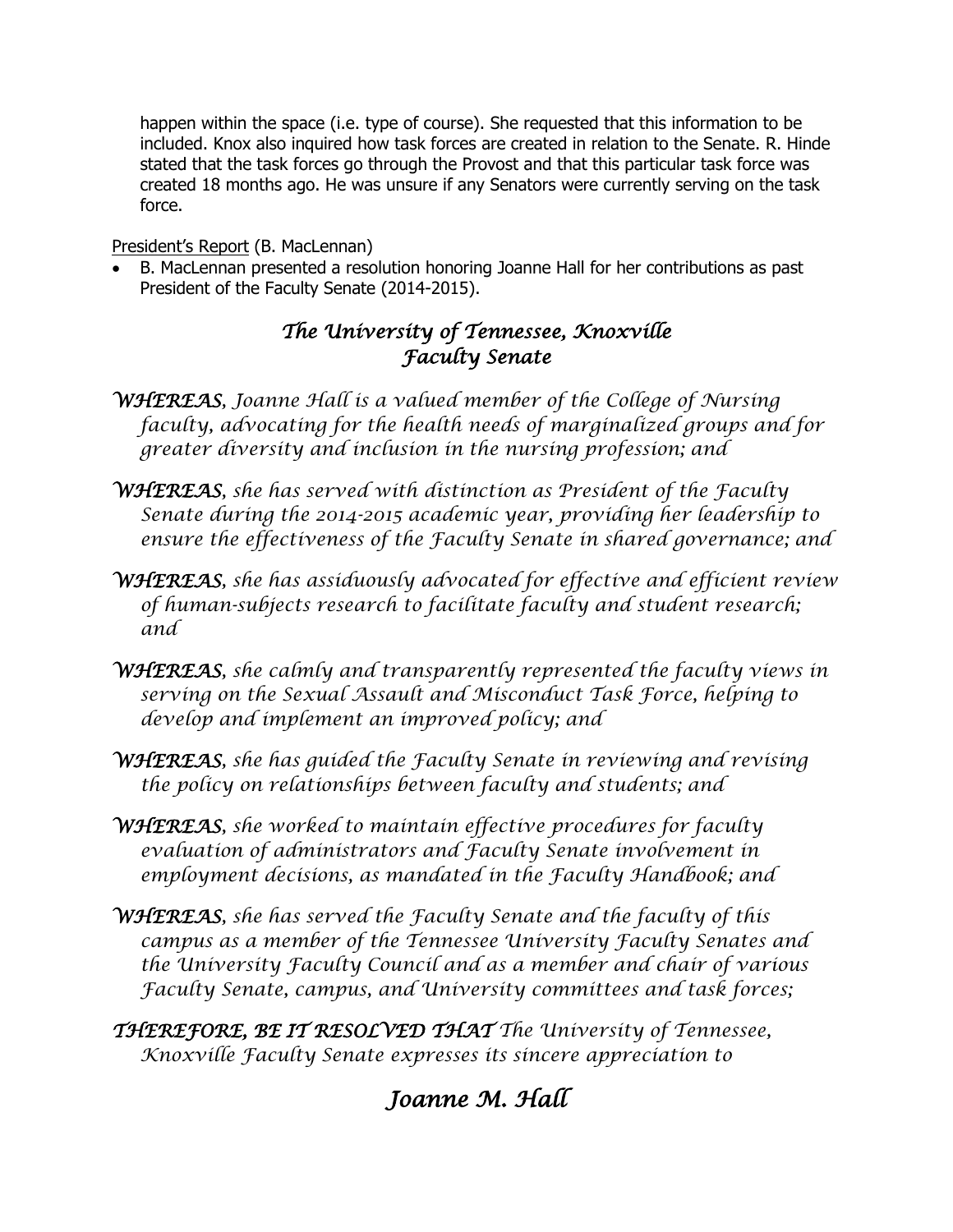happen within the space (i.e. type of course). She requested that this information to be included. Knox also inquired how task forces are created in relation to the Senate. R. Hinde stated that the task forces go through the Provost and that this particular task force was created 18 months ago. He was unsure if any Senators were currently serving on the task force.

## President's Report (B. MacLennan)

 B. MacLennan presented a resolution honoring Joanne Hall for her contributions as past President of the Faculty Senate (2014-2015).

## *The University of Tennessee, Knoxville Faculty Senate*

- *WHEREAS, Joanne Hall is a valued member of the College of Nursing faculty, advocating for the health needs of marginalized groups and for greater diversity and inclusion in the nursing profession; and*
- *WHEREAS, she has served with distinction as President of the Faculty Senate during the 2014-2015 academic year, providing her leadership to ensure the effectiveness of the Faculty Senate in shared governance; and*
- *WHEREAS, she has assiduously advocated for effective and efficient review of human-subjects research to facilitate faculty and student research; and*
- *WHEREAS, she calmly and transparently represented the faculty views in serving on the Sexual Assault and Misconduct Task Force, helping to develop and implement an improved policy; and*
- *WHEREAS, she has guided the Faculty Senate in reviewing and revising the policy on relationships between faculty and students; and*
- *WHEREAS, she worked to maintain effective procedures for faculty evaluation of administrators and Faculty Senate involvement in employment decisions, as mandated in the Faculty Handbook; and*
- *WHEREAS, she has served the Faculty Senate and the faculty of this campus as a member of the Tennessee University Faculty Senates and the University Faculty Council and as a member and chair of various Faculty Senate, campus, and University committees and task forces;*
- *THEREFORE, BE IT RESOLVED THAT The University of Tennessee, Knoxville Faculty Senate expresses its sincere appreciation to*

# *Joanne M. Hall*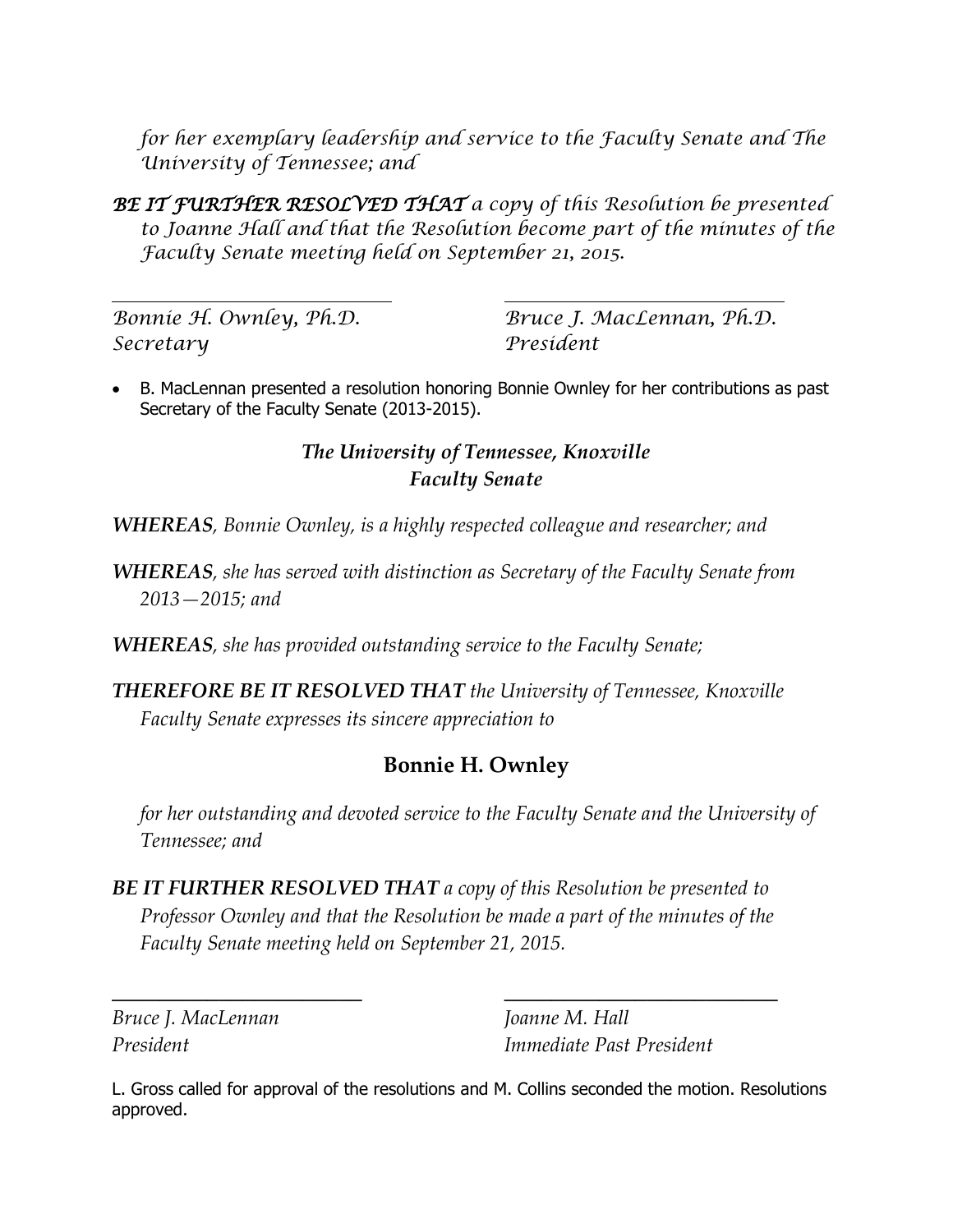*for her exemplary leadership and service to the Faculty Senate and The University of Tennessee; and*

*BE IT FURTHER RESOLVED THAT a copy of this Resolution be presented to Joanne Hall and that the Resolution become part of the minutes of the Faculty Senate meeting held on September 21, 2015.*

*Secretary President*

*Bonnie H. Ownley, Ph.D. Bruce J. MacLennan, Ph.D.*

 B. MacLennan presented a resolution honoring Bonnie Ownley for her contributions as past Secretary of the Faculty Senate (2013-2015).

## *The University of Tennessee, Knoxville Faculty Senate*

*WHEREAS, Bonnie Ownley, is a highly respected colleague and researcher; and*

*WHEREAS, she has served with distinction as Secretary of the Faculty Senate from 2013—2015; and*

*WHEREAS, she has provided outstanding service to the Faculty Senate;* 

*THEREFORE BE IT RESOLVED THAT the University of Tennessee, Knoxville Faculty Senate expresses its sincere appreciation to*

## **Bonnie H. Ownley**

*for her outstanding and devoted service to the Faculty Senate and the University of Tennessee; and*

*BE IT FURTHER RESOLVED THAT a copy of this Resolution be presented to Professor Ownley and that the Resolution be made a part of the minutes of the Faculty Senate meeting held on September 21, 2015.*

 $\overline{\phantom{a}}$  , and the contract of the contract of the contract of the contract of the contract of the contract of the contract of the contract of the contract of the contract of the contract of the contract of the contrac

*Bruce J. MacLennan Joanne M. Hall*

*President Immediate Past President*

L. Gross called for approval of the resolutions and M. Collins seconded the motion. Resolutions approved.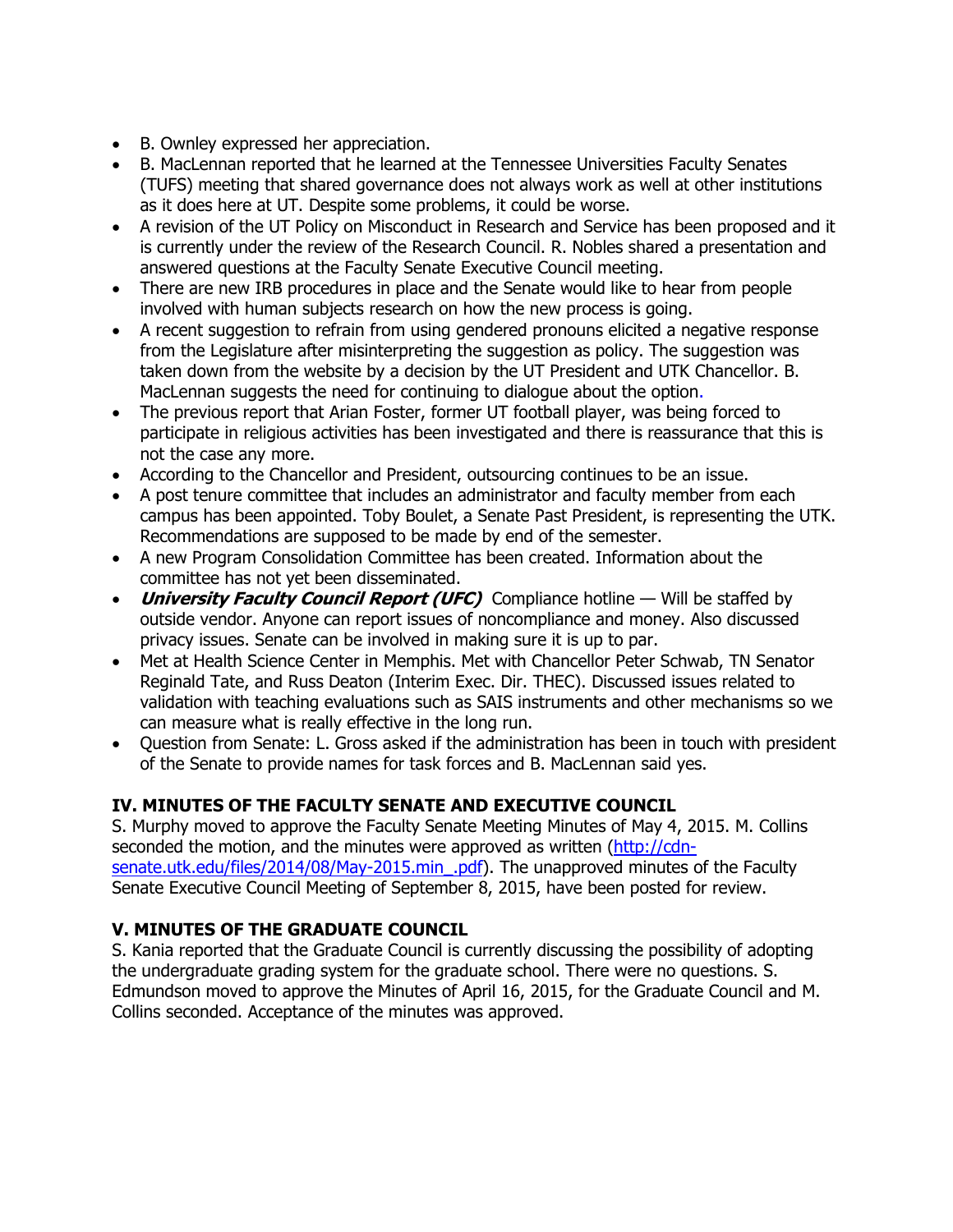- B. Ownley expressed her appreciation.
- B. MacLennan reported that he learned at the Tennessee Universities Faculty Senates (TUFS) meeting that shared governance does not always work as well at other institutions as it does here at UT. Despite some problems, it could be worse.
- A revision of the UT Policy on Misconduct in Research and Service has been proposed and it is currently under the review of the Research Council. R. Nobles shared a presentation and answered questions at the Faculty Senate Executive Council meeting.
- There are new IRB procedures in place and the Senate would like to hear from people involved with human subjects research on how the new process is going.
- A recent suggestion to refrain from using gendered pronouns elicited a negative response from the Legislature after misinterpreting the suggestion as policy. The suggestion was taken down from the website by a decision by the UT President and UTK Chancellor. B. MacLennan suggests the need for continuing to dialogue about the option.
- The previous report that Arian Foster, former UT football player, was being forced to participate in religious activities has been investigated and there is reassurance that this is not the case any more.
- According to the Chancellor and President, outsourcing continues to be an issue.
- A post tenure committee that includes an administrator and faculty member from each campus has been appointed. Toby Boulet, a Senate Past President, is representing the UTK. Recommendations are supposed to be made by end of the semester.
- A new Program Consolidation Committee has been created. Information about the committee has not yet been disseminated.
- **University Faculty Council Report (UFC)** Compliance hotline Will be staffed by outside vendor. Anyone can report issues of noncompliance and money. Also discussed privacy issues. Senate can be involved in making sure it is up to par.
- Met at Health Science Center in Memphis. Met with Chancellor Peter Schwab, TN Senator Reginald Tate, and Russ Deaton (Interim Exec. Dir. THEC). Discussed issues related to validation with teaching evaluations such as SAIS instruments and other mechanisms so we can measure what is really effective in the long run.
- Question from Senate: L. Gross asked if the administration has been in touch with president of the Senate to provide names for task forces and B. MacLennan said yes.

## **IV. MINUTES OF THE FACULTY SENATE AND EXECUTIVE COUNCIL**

S. Murphy moved to approve the Faculty Senate Meeting Minutes of May 4, 2015. M. Collins seconded the motion, and the minutes were approved as written [\(http://cdn](http://cdn-senate.utk.edu/files/2014/08/May-2015.min_.pdf)[senate.utk.edu/files/2014/08/May-2015.min\\_.pdf\)](http://cdn-senate.utk.edu/files/2014/08/May-2015.min_.pdf). The unapproved minutes of the Faculty Senate Executive Council Meeting of September 8, 2015, have been posted for review.

## **V. MINUTES OF THE GRADUATE COUNCIL**

S. Kania reported that the Graduate Council is currently discussing the possibility of adopting the undergraduate grading system for the graduate school. There were no questions. S. Edmundson moved to approve the Minutes of April 16, 2015, for the Graduate Council and M. Collins seconded. Acceptance of the minutes was approved.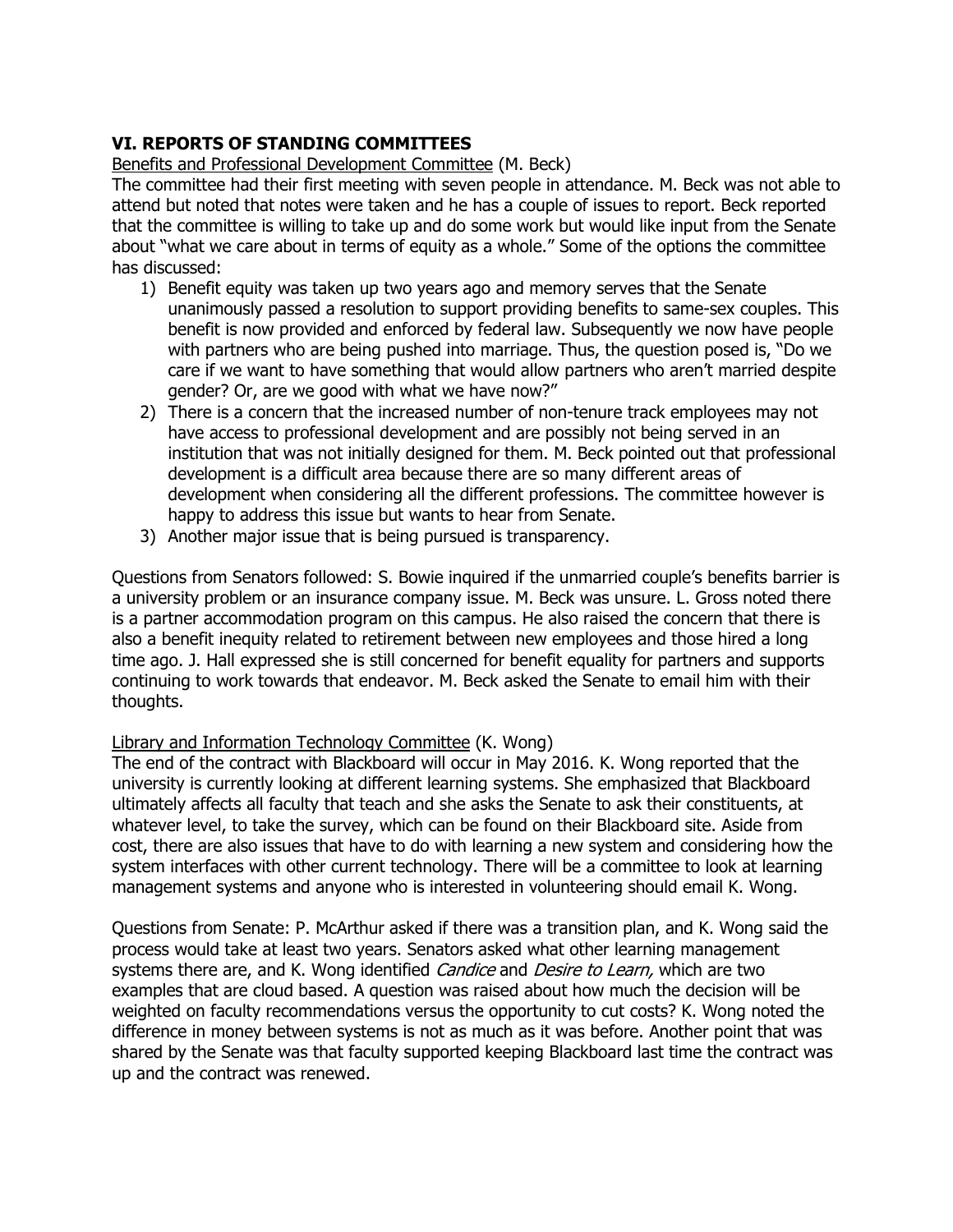## **VI. REPORTS OF STANDING COMMITTEES**

## Benefits and Professional Development Committee (M. Beck)

The committee had their first meeting with seven people in attendance. M. Beck was not able to attend but noted that notes were taken and he has a couple of issues to report. Beck reported that the committee is willing to take up and do some work but would like input from the Senate about "what we care about in terms of equity as a whole." Some of the options the committee has discussed:

- 1) Benefit equity was taken up two years ago and memory serves that the Senate unanimously passed a resolution to support providing benefits to same-sex couples. This benefit is now provided and enforced by federal law. Subsequently we now have people with partners who are being pushed into marriage. Thus, the question posed is, "Do we care if we want to have something that would allow partners who aren't married despite gender? Or, are we good with what we have now?"
- 2) There is a concern that the increased number of non-tenure track employees may not have access to professional development and are possibly not being served in an institution that was not initially designed for them. M. Beck pointed out that professional development is a difficult area because there are so many different areas of development when considering all the different professions. The committee however is happy to address this issue but wants to hear from Senate.
- 3) Another major issue that is being pursued is transparency.

Questions from Senators followed: S. Bowie inquired if the unmarried couple's benefits barrier is a university problem or an insurance company issue. M. Beck was unsure. L. Gross noted there is a partner accommodation program on this campus. He also raised the concern that there is also a benefit inequity related to retirement between new employees and those hired a long time ago. J. Hall expressed she is still concerned for benefit equality for partners and supports continuing to work towards that endeavor. M. Beck asked the Senate to email him with their thoughts.

## Library and Information Technology Committee (K. Wong)

The end of the contract with Blackboard will occur in May 2016. K. Wong reported that the university is currently looking at different learning systems. She emphasized that Blackboard ultimately affects all faculty that teach and she asks the Senate to ask their constituents, at whatever level, to take the survey, which can be found on their Blackboard site. Aside from cost, there are also issues that have to do with learning a new system and considering how the system interfaces with other current technology. There will be a committee to look at learning management systems and anyone who is interested in volunteering should email K. Wong.

Questions from Senate: P. McArthur asked if there was a transition plan, and K. Wong said the process would take at least two years. Senators asked what other learning management systems there are, and K. Wong identified *Candice* and *Desire to Learn*, which are two examples that are cloud based. A question was raised about how much the decision will be weighted on faculty recommendations versus the opportunity to cut costs? K. Wong noted the difference in money between systems is not as much as it was before. Another point that was shared by the Senate was that faculty supported keeping Blackboard last time the contract was up and the contract was renewed.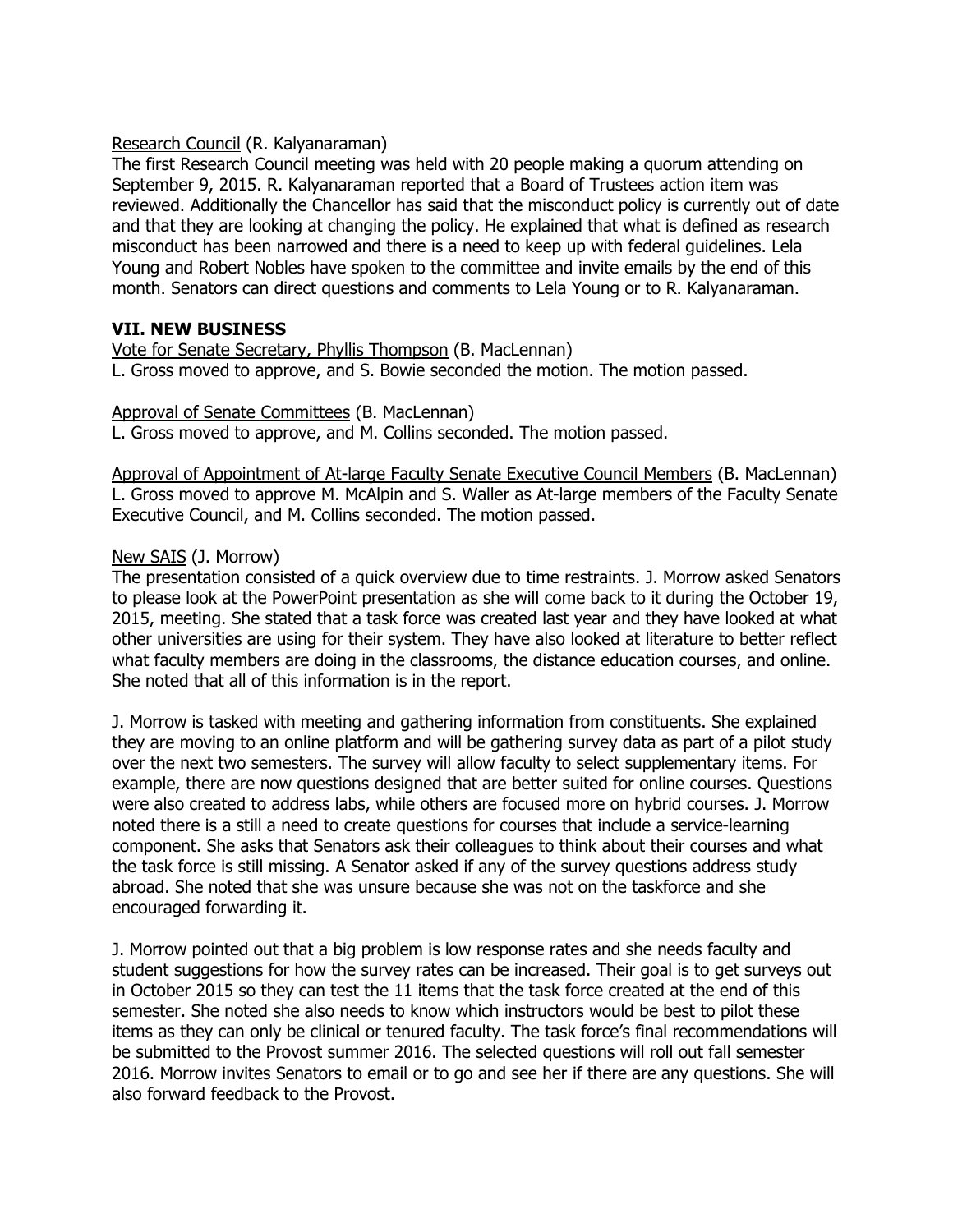#### Research Council (R. Kalyanaraman)

The first Research Council meeting was held with 20 people making a quorum attending on September 9, 2015. R. Kalyanaraman reported that a Board of Trustees action item was reviewed. Additionally the Chancellor has said that the misconduct policy is currently out of date and that they are looking at changing the policy. He explained that what is defined as research misconduct has been narrowed and there is a need to keep up with federal guidelines. Lela Young and Robert Nobles have spoken to the committee and invite emails by the end of this month. Senators can direct questions and comments to Lela Young or to R. Kalyanaraman.

## **VII. NEW BUSINESS**

Vote for Senate Secretary, Phyllis Thompson (B. MacLennan) L. Gross moved to approve, and S. Bowie seconded the motion. The motion passed.

#### Approval of Senate Committees (B. MacLennan)

L. Gross moved to approve, and M. Collins seconded. The motion passed.

Approval of Appointment of At-large Faculty Senate Executive Council Members (B. MacLennan) L. Gross moved to approve M. McAlpin and S. Waller as At-large members of the Faculty Senate Executive Council, and M. Collins seconded. The motion passed.

## New SAIS (J. Morrow)

The presentation consisted of a quick overview due to time restraints. J. Morrow asked Senators to please look at the PowerPoint presentation as she will come back to it during the October 19, 2015, meeting. She stated that a task force was created last year and they have looked at what other universities are using for their system. They have also looked at literature to better reflect what faculty members are doing in the classrooms, the distance education courses, and online. She noted that all of this information is in the report.

J. Morrow is tasked with meeting and gathering information from constituents. She explained they are moving to an online platform and will be gathering survey data as part of a pilot study over the next two semesters. The survey will allow faculty to select supplementary items. For example, there are now questions designed that are better suited for online courses. Questions were also created to address labs, while others are focused more on hybrid courses. J. Morrow noted there is a still a need to create questions for courses that include a service-learning component. She asks that Senators ask their colleagues to think about their courses and what the task force is still missing. A Senator asked if any of the survey questions address study abroad. She noted that she was unsure because she was not on the taskforce and she encouraged forwarding it.

J. Morrow pointed out that a big problem is low response rates and she needs faculty and student suggestions for how the survey rates can be increased. Their goal is to get surveys out in October 2015 so they can test the 11 items that the task force created at the end of this semester. She noted she also needs to know which instructors would be best to pilot these items as they can only be clinical or tenured faculty. The task force's final recommendations will be submitted to the Provost summer 2016. The selected questions will roll out fall semester 2016. Morrow invites Senators to email or to go and see her if there are any questions. She will also forward feedback to the Provost.